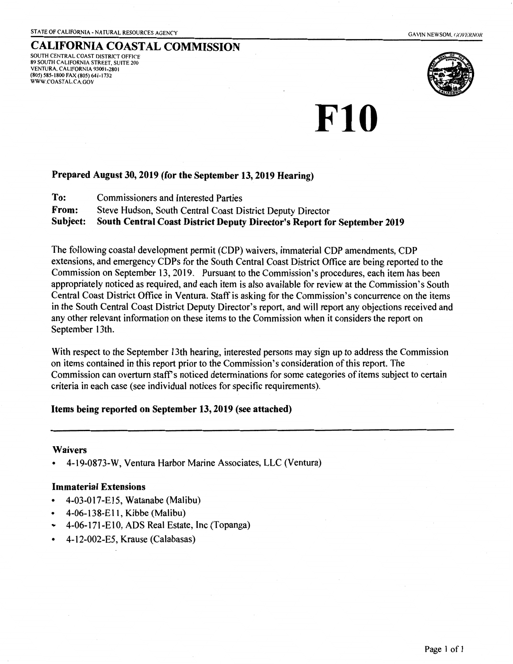STATE OF CALIFORNIA- NATURAL RESOURCES AGENCY

CALIFORNIA COASTAL COMMISSION

SOUTH CENTRAL COAST DISTRICT OFFICE 89 SOUTH CALIFORNIA STREET, SUITE 200 VENTURA, CALIFORNIA 93001-2801 (805) 585-1800 FAX (805) 641-1732 WWW.COASTAL.C A.GOV



**F10** 

# Prepared August 30, 2019 (for the September 13, 2019 Hearing)

- To: Commissioners and Interested Parties
- From: Steve Hudson, South Central Coast District Deputy Director
- Subject: South Central Coast District Deputy Director's Report for September 2019

The following coastal development permit (CDP) waivers, immaterial CDP amendments, COP extensions, and emergency COPs for the South Central Coast District Office are being reported to the Commission on September 13, 2019. Pursuant to the Commission's procedures, each item has been appropriately noticed as required, and each item is also available for review at the Commission's South Central Coast District Office in Ventura. Staff is asking for the Commission's concurrence on the items in the South Central Coast District Deputy Director's report, and will report any objections received and any other relevant information on these items to the Commission when it considers the report on September 13th.

With respect to the September 13th hearing, interested persons may sign up to address the Commission on items contained in this report prior to the Commission's consideration of this report. The Commission can overturn staff's noticed determinations for some categories of items subject to certain criteria in each case (see individual notices for specific requirements).

# Items being reported on September 13, 2019 (see attached)

## Waivers

• 4-19-0873-W, Ventura Harbor Marine Associates, LLC (Ventura)

# Immaterial Extensions

- 4-03-017-El5, Watanabe (Malibu)
- 4-06-138-Ell, Kibbe (Malibu)
- ., 4-06-171-E 10, ADS Real Estate, Inc (Topanga)
- 4-12-002-ES, Krause (Calabasas)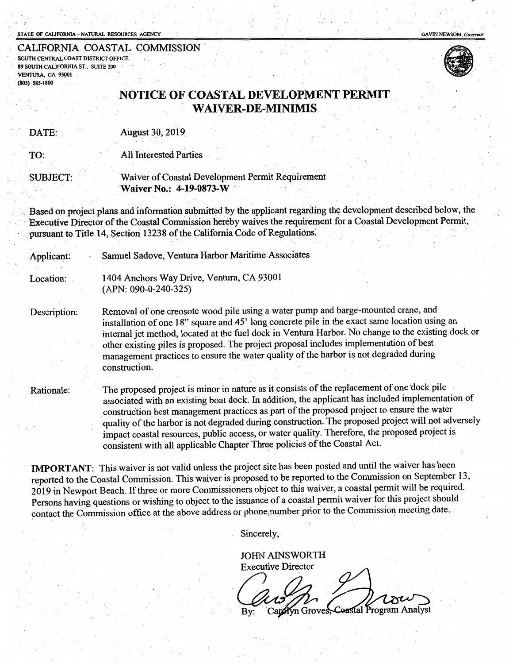#### STATE OF CALIFORNIA – NATURAL RESOURCES AGENCY GAVIN NEWSOM, Governor

CALIFORNIA COASTAL COMMISSION SOUTH CENTRAL COAST DISTRICT OFFICE

89 SOUTH CALIFORNIA ST., SUITE 200 VENTURA, CA 93001 (SOS) SSS-1800



#### NOTICE OF COASTAL DEVELOPMENT PERMIT WAIVER-DE-MINIMIS.

DATE: August 30,2019

TO:

All Interested Parties

SUBJECT:

Waiver of Coastal Development Permit Requirement Waiver No.: 4-19-0873-W

Based on project plans and information submitted by the applicant regarding the development described below, the Executive Director of the Coastal Commission hereby waives the requirement for a Coastal Development Permit, pursuant to Title 14, Section 13238 of the California Code of Regulations.

Applicant: Samuel Sadove, Ventura Harbor Maritime Associates

Location: 1404 Anchors Way Drive, Ventura, CA93001 (APN: 090-0-240-325)

Description: Removal of one creosote wood pile using a water pump and barge-mounted crane, and installation of one 18" square and 45' long concrete pile in the exact same location using an internal jet method, located at the fuel dock in Ventura Harbor. No change to the existing dock or other existing piles is proposed. The project proposal includes implementation of best management practices to ensure the water quality of the harbor is not degraded during construction.

·Rationale:

The proposed project is minor in nature as it consists of the replacement of one dock pile associated with an existing boat dock. In addition, the applicant has included implementation of construction best management practices as part of the proposed project to ensure the water quality of the harbor is not degraded during construction. The proposed project will not adversely impact coastal resources, public access, or water quality. Therefore, the proposed project is consistent with all applicable Chapter Three policies of the Coastal Act.

IMPORTANT: This waiver is not valid unless the project site has been posted and until the waiver has been reported to the Coastal Commission. This waiver is proposed to be reported to the Commission on September 13, 2019 in Newport Beach. If three or more Commissioners object to this waiver, a coastal permit will be required. Persons having questions or wishing to object to the issuance of a coastal permit waiver for this project should contact the Commission office at the above address or phone,number prior to the Commission meeting date.

Sincerely,

JOHN AINSWORTH Executive Director

Carryn Groves, Coastal Program Analyst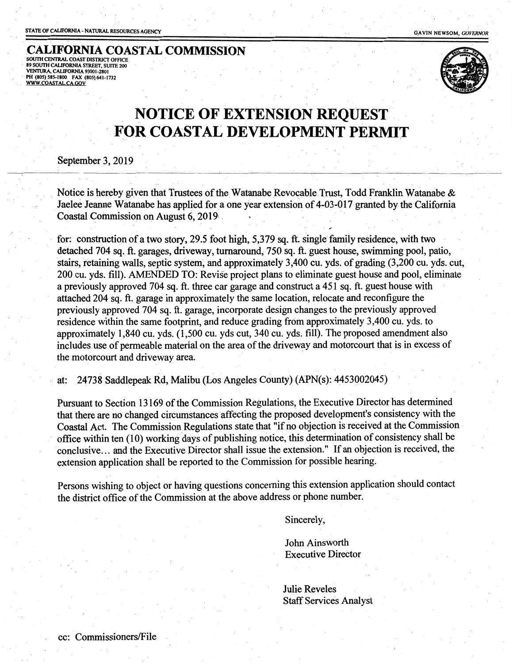**CALIFORNIA COASTAL COMMISSION**  SOUTH CENTRAL COAST DISTRICT OFFICE · 89 SOUTH CALIFORNIA STREET, SUITE 200 VENTURA, CALIFORNIA 93001-2801 . · PH (805)585-1800 FAX (805)641-1732 WWW C0ASTAL.CA GOY



### **NOTICE OF EXTENSION REQUEST FOR COASTAL DEVELOPMENT PERMIT**

September 3, 2019

Notice is hereby given that Trustees of the Watanabe Revocable Trust, Todd Franklin Watanabe & Jaelee Jeanne Watanabe has applied fora one year extension of 4-03-017 granted by the California Coastal Commission on August  $6, 2019$ .

. . . . . .

for: construction of a two story, 29.5 foot high, 5,379 sq. ft. single family residence, with two detached 704 sq. ft. garages, driveway, turnaround, 750 Sq. ft. guest house, swimming pool, patio, stairs, retaining walls, septic system, and approximately 3,400 cu. yds; of grading (3,200 cu. yds. cut, 200 cu. yds. fill). AMENDED TO: Revise project plans to eliminate guest house and pool, eliminate a previously approved 704 sq. ft. three car garage and construct a 451 sq. ft. guest house with attached 204 sq. ft. garage in approximately the same location, relocate and reconfigure the previously approved 704 sq. ft. garage, incorporate design changes to the previously approved residence within the same footprint, and reduce grading from approximately 3,400 cu. yds. to approximately 1,840 cu. yds. (1,500 cu. yds cut, 340 cu. yds. fill). The proposed amendment also includes use of permeable material on the area of the driveway and motorcourt that is in excess of the motorcourt and driveway area.

at: 24738 Saddlepeak Rd, Malibu (Los Angeles County) (APN(s): 4453002045)

Pursuant to Section 13169 of the Commission Regulations, the Executive Director has determined that there are no changed circumstances affecting the proposed development's consistency with the Coastal Act. The Commission Regulations state that "if no objection is received at the Commission office within ten (10) working days of publishing notice, this determination of consistency shall be conclusive ... and the Executive Director shall issue the extension." If an objection is received, the extension application shall be reported to the Commission for possible hearing.

Persons wishing to object or having questions concerning this extension application should contact the district office of the Commission at the above address or phone number.

Sincerely,

John Ainsworth Executive Director

Julie Reveles Staff Services Analyst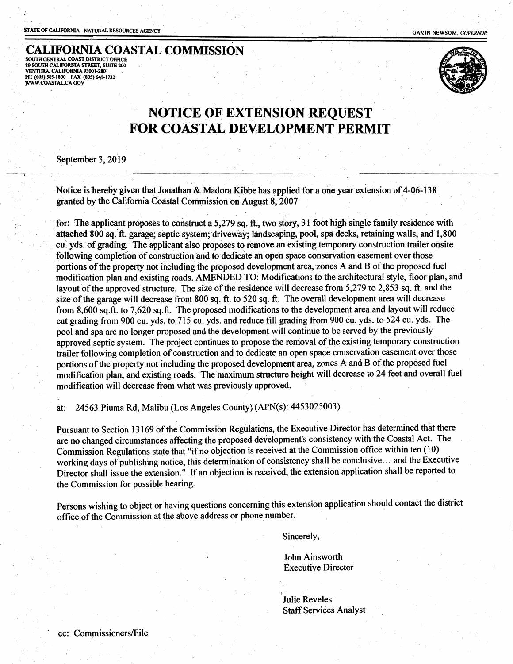. **·.CALIFORNIA COASTAL COMMISSION**  SOUTH CENTRAL COAST DISTRICT OFFICE 89 SOUTH CALIFORNIA STREET, SUITE 200 SOUTH CALIFORNIA STREET, SUITE 200<br>VENTURA, CALIFORNIA 93001-2801<br>WENTURA, CALIFORNIA 93001-2801<br>WWW.COASTAL.CA GOV

VENTURA, CALIFORNIA 93001-2801 . PH (805) 585-1800 FAX (805) 641-1732<br>WWW.COASTAL.CA.GOV



#### **NOTICE OF EXTENSION REQUEST FOR COASTAL DEVELOPMENT PERMIT**

September 3, 2019

Notice is hereby given that Jonathan & Madora Kibbe has applied for a one year extension of 4-06-138 granted by the California Coastal Commission on August 8, 2007

. . . . . .

for: The applicant proposes to construct a 5,279 sq. ft., two story, 31 foot high single family residence with attached 800 sq. ft. garage; septic system; driveway; landscaping, pool, spa decks, retaining walls, and 1,800 cu. yds. of grading. The applicant also proposes to remove an existing temporary construction trailer onsite following completion of construction and to dedicate an open space conservation easement over those portions of the property not including the proposed development area, zones A and B of the proposed fuel modification plan and existing roads. AMENDED TO: Modifications to the architectural style, floor plan, and layout of the approved structure. The size of the residence will decrease from 5,279 to 2,853 sq. ft. and the size of the garage will decrease from 800 sq. ft. to 520 sq. ft. The overall development area will decrease from 8,600 sq.ft. to 7,620 sq.ft. The proposed modifications to the development area and layout will reduce cut grading from 900 cu. yds. to 715 cu. yds. and reduce fill grading from 900 cu. yds. to 524 cu. yds. The pool and spa are no longer proposed and the development will continue to be served by the previously approved septic system. The project continues to propose the removal of the existing temporary construction trailer following completion of construction and to dedicate an open space conservation easement over those portions of the property not including the proposed development area, zones A and B of the proposed fuel modification plan, and existing roads. The maximum structure height will decrease to 24 feet and overall fuel modification will decrease from what was previously approved.

at: 24563 Piuma Rd, Malibu (Los Angeles County) (APN(s): 4453025003)

Pursuant to Section 13169 of the Commission Regulations, the Executive Director has determined that there are no changed circumstances affecting the proposed development's consistency with the Coastal Act. The Commission Regulations state that "if no objection is received at the Commission office within ten (10) working days of publishing notice, this determination of consistency shall be conclusive... and the Executive Director shall issue the extension." If an objection is received, the extension application shall be reported to the Commission for possible hearing.

Persons wishing to object or having questions concerning this extension application should contact the district office of the Commission at the above address or phone number.

Sincerely,

John Ainsworth Executive Director

 $\ddot{\ }$ . Julie Reveles **Staff Services Analyst**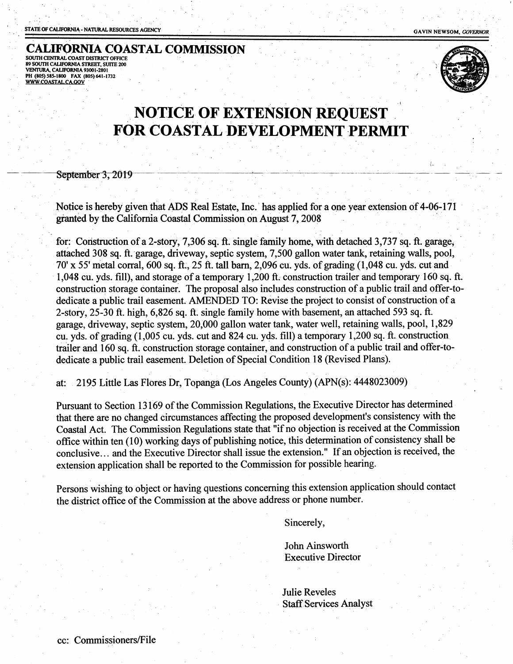**CALIFORNIA COASTAL COMMISSION** SOUTH CENTRAL COAST DISTRICT OFFICE SOUTH CALIFORNIA STREET, SUITE 200 **VENTURA, CALIFORNIA 93001-2801<br>PH (805) 585-1800 FAX (805) 641-1732<br>WWW.COASTAL.CA.GOV** 



GAVIN NEWSOM, GOVERNOR

### **NOTICE OF EXTENSION REQUEST FOR COASTAL DEVELOPMENT PERMIT**

September 3, 2019

Notice is hereby given that ADS Real Estate, Inc. has applied for a one year extension of 4-06-171 granted by the California Coastal Commission on August 7, 2008

for: Construction of a 2-story, 7,306 sq. ft. single family home, with detached 3,737 sq. ft. garage, attached 308 sq. ft. garage, driveway, septic system, 7,500 gallon water tank, retaining walls, pool, 70' x 55' metal corral, 600 sq. ft., 25 ft. tall barn, 2,096 cu. yds. of grading (1,048 cu. yds. cut and 1,048 cu. yds. fill), and storage of a temporary 1,200 ft. construction trailer and temporary 160 sq. ft. construction storage container. The proposal also includes construction of a public trail and offer-todedicate a public trail easement. AMENDED TO: Revise the project to consist of construction of a 2-story, 25-30 ft. high, 6,826 sq. ft. single family home with basement, an attached 593 sq. ft. garage, driveway, septic system, 20,000 gallon water tank, water well, retaining walls, pool, 1,829 cu. yds. of grading (1,005 cu. yds. cut and 824 cu. yds. fill) a temporary 1,200 sq. ft. construction trailer and 160 sq. ft. construction storage container, and construction of a public trail and offer-todedicate a public trail easement. Deletion of Special Condition 18 (Revised Plans).

at: 2195 Little Las Flores Dr, Topanga (Los Angeles County) (APN(s): 4448023009)

Pursuant to Section 13169 of the Commission Regulations, the Executive Director has determined that there are no changed circumstances affecting the proposed development's consistency with the Coastal Act. The Commission Regulations state that "if no objection is received at the Commission office within ten (10) working days of publishing notice, this determination of consistency shall be conclusive... and the Executive Director shall issue the extension." If an objection is received, the extension application shall be reported to the Commission for possible hearing.

Persons wishing to object or having questions concerning this extension application should contact the district office of the Commission at the above address or phone number.

Sincerely,

John Ainsworth **Executive Director** 

**Julie Reveles Staff Services Analyst**